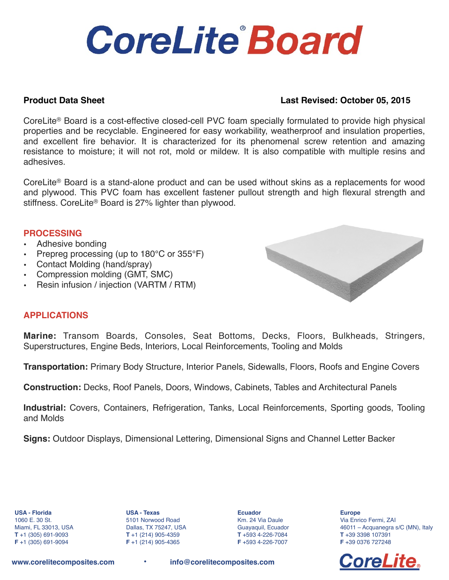# **CoreLite Board**

### **Product Data Sheet Last Revised: October 05, 2015**

CoreLite® Board is a cost-effective closed-cell PVC foam specially formulated to provide high physical properties and be recyclable. Engineered for easy workability, weatherproof and insulation properties, and excellent fire behavior. It is characterized for its phenomenal screw retention and amazing resistance to moisture; it will not rot, mold or mildew. It is also compatible with multiple resins and adhesives.

CoreLite® Board is a stand-alone product and can be used without skins as a replacements for wood and plywood. This PVC foam has excellent fastener pullout strength and high flexural strength and stiffness. CoreLite® Board is 27% lighter than plywood.

#### **PROCESSING**

- Adhesive bonding
- Prepreg processing (up to 180°C or 355°F)
- Contact Molding (hand/spray)
- Compression molding (GMT, SMC)
- Resin infusion / injection (VARTM / RTM)



#### **APPLICATIONS**

**Marine:** Transom Boards, Consoles, Seat Bottoms, Decks, Floors, Bulkheads, Stringers, Superstructures, Engine Beds, Interiors, Local Reinforcements, Tooling and Molds

**Transportation:** Primary Body Structure, Interior Panels, Sidewalls, Floors, Roofs and Engine Covers

**Construction:** Decks, Roof Panels, Doors, Windows, Cabinets, Tables and Architectural Panels

**Industrial:** Covers, Containers, Refrigeration, Tanks, Local Reinforcements, Sporting goods, Tooling and Molds

**Signs:** Outdoor Displays, Dimensional Lettering, Dimensional Signs and Channel Letter Backer

**USA - Florida** 1060 E. 30 St. Miami, FL 33013, USA **T** +1 (305) 691-9093 **F** +1 (305) 691-9094

**USA - Texas** 5101 Norwood Road Dallas, TX 75247, USA **T** +1 (214) 905-4359 **F** +1 (214) 905-4365

**Ecuador** Km. 24 Via Daule Guayaquil, Ecuador **T** +593 4-226-7084 **F** +593 4-226-7007

**Europe** Via Enrico Fermi, ZAI 46011 – Acquanegra s/C (MN), Italy **T** +39 3398 107391 **F** +39 0376 727248



**[www.corelitecomposites.com](http://www.corelitecomposites.com) • [info@corelitecomposites.com](mailto:info@corelitecomposites.com)**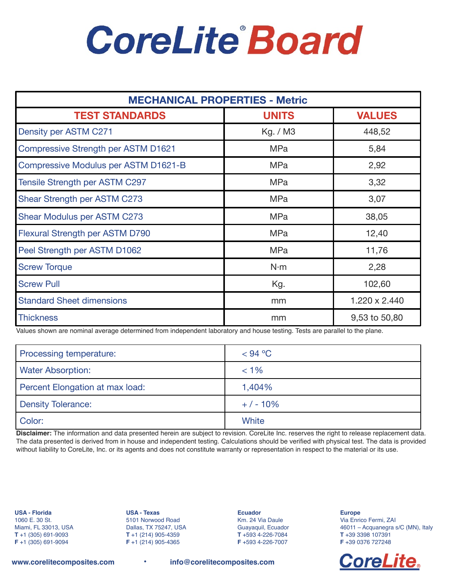# **CoreLite Board**

| <b>MECHANICAL PROPERTIES - Metric</b>      |              |               |  |
|--------------------------------------------|--------------|---------------|--|
| <b>TEST STANDARDS</b>                      | <b>UNITS</b> | <b>VALUES</b> |  |
| Density per ASTM C271                      | Kg. / M3     | 448,52        |  |
| <b>Compressive Strength per ASTM D1621</b> | <b>MPa</b>   | 5,84          |  |
| Compressive Modulus per ASTM D1621-B       | <b>MPa</b>   | 2,92          |  |
| Tensile Strength per ASTM C297             | <b>MPa</b>   | 3,32          |  |
| Shear Strength per ASTM C273               | <b>MPa</b>   | 3,07          |  |
| Shear Modulus per ASTM C273                | <b>MPa</b>   | 38,05         |  |
| Flexural Strength per ASTM D790            | <b>MPa</b>   | 12,40         |  |
| Peel Strength per ASTM D1062               | <b>MPa</b>   | 11,76         |  |
| <b>Screw Torque</b>                        | N·m          | 2,28          |  |
| <b>Screw Pull</b>                          | Kg.          | 102,60        |  |
| <b>Standard Sheet dimensions</b>           | mm           | 1.220 x 2.440 |  |
| <b>Thickness</b>                           | mm           | 9,53 to 50,80 |  |

Values shown are nominal average determined from independent laboratory and house testing. Tests are parallel to the plane.

| Processing temperature:         | $<$ 94 °C |
|---------------------------------|-----------|
| <b>Water Absorption:</b>        | $< 1\%$   |
| Percent Elongation at max load: | 1,404%    |
| <b>Density Tolerance:</b>       | $+/-10%$  |
| Color:                          | White     |

**Disclaimer:** The information and data presented herein are subject to revision. CoreLite Inc. reserves the right to release replacement data. The data presented is derived from in house and independent testing. Calculations should be verified with physical test. The data is provided without liability to CoreLite, Inc. or its agents and does not constitute warranty or representation in respect to the material or its use.

**USA - Florida** 1060 E. 30 St. Miami, FL 33013, USA **T** +1 (305) 691-9093 **F** +1 (305) 691-9094

**USA - Texas** 5101 Norwood Road Dallas, TX 75247, USA **T** +1 (214) 905-4359 **F** +1 (214) 905-4365

**Ecuador** Km. 24 Via Daule Guayaquil, Ecuador **T** +593 4-226-7084 **F** +593 4-226-7007

**Europe** Via Enrico Fermi, ZAI 46011 – Acquanegra s/C (MN), Italy **T** +39 3398 107391 **F** +39 0376 727248



**[www.corelitecomposites.com](http://www.corelitecomposites.com) • [info@corelitecomposites.com](mailto:info@corelitecomposites.com)**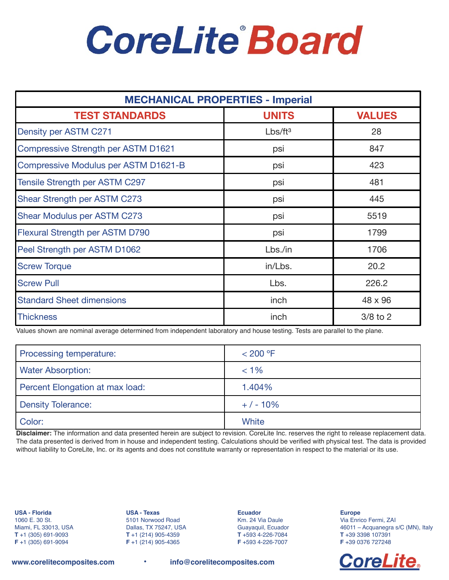# **CoreLite Board**

| <b>MECHANICAL PROPERTIES - Imperial</b>    |                     |               |  |
|--------------------------------------------|---------------------|---------------|--|
| <b>TEST STANDARDS</b>                      | <b>UNITS</b>        | <b>VALUES</b> |  |
| Density per ASTM C271                      | Lbs/ft <sup>3</sup> | 28            |  |
| <b>Compressive Strength per ASTM D1621</b> | psi                 | 847           |  |
| Compressive Modulus per ASTM D1621-B       | psi                 | 423           |  |
| <b>Tensile Strength per ASTM C297</b>      | psi                 | 481           |  |
| Shear Strength per ASTM C273               | psi                 | 445           |  |
| Shear Modulus per ASTM C273                | psi                 | 5519          |  |
| <b>Flexural Strength per ASTM D790</b>     | psi                 | 1799          |  |
| Peel Strength per ASTM D1062               | Lbs./in             | 1706          |  |
| <b>Screw Torque</b>                        | in/Lbs.             | 20.2          |  |
| <b>Screw Pull</b>                          | Lbs.                | 226.2         |  |
| <b>Standard Sheet dimensions</b>           | inch                | 48 x 96       |  |
| <b>Thickness</b>                           | inch                | $3/8$ to $2$  |  |

Values shown are nominal average determined from independent laboratory and house testing. Tests are parallel to the plane.

| Processing temperature:         | $<$ 200 °F |
|---------------------------------|------------|
| <b>Water Absorption:</b>        | $< 1\%$    |
| Percent Elongation at max load: | 1.404%     |
| <b>Density Tolerance:</b>       | $+/-10%$   |
| Color:                          | White      |

**Disclaimer:** The information and data presented herein are subject to revision. CoreLite Inc. reserves the right to release replacement data. The data presented is derived from in house and independent testing. Calculations should be verified with physical test. The data is provided without liability to CoreLite, Inc. or its agents and does not constitute warranty or representation in respect to the material or its use.

**USA - Florida** 1060 E. 30 St. Miami, FL 33013, USA **T** +1 (305) 691-9093 **F** +1 (305) 691-9094

**USA - Texas** 5101 Norwood Road Dallas, TX 75247, USA **T** +1 (214) 905-4359 **F** +1 (214) 905-4365

**Ecuador** Km. 24 Via Daule Guayaquil, Ecuador **T** +593 4-226-7084 **F** +593 4-226-7007

**Europe** Via Enrico Fermi, ZAI 46011 – Acquanegra s/C (MN), Italy **T** +39 3398 107391 **F** +39 0376 727248



**[www.corelitecomposites.com](http://www.corelitecomposites.com) • [info@corelitecomposites.com](mailto:info@corelitecomposites.com)**